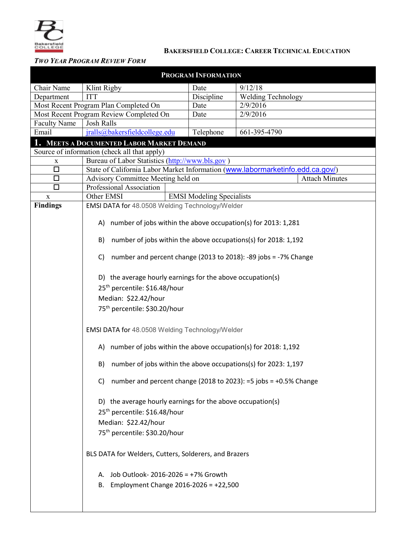

## **BAKERSFIELD COLLEGE: CAREER TECHNICAL EDUCATION**

## *TWO YEAR PROGRAM REVIEW FORM*

| PROGRAM INFORMATION                                                                       |                                                                                                                                               |            |                           |  |  |  |  |  |  |  |  |  |
|-------------------------------------------------------------------------------------------|-----------------------------------------------------------------------------------------------------------------------------------------------|------------|---------------------------|--|--|--|--|--|--|--|--|--|
| Chair Name                                                                                | Klint Rigby                                                                                                                                   | Date       | 9/12/18                   |  |  |  |  |  |  |  |  |  |
| Department                                                                                | <b>ITT</b>                                                                                                                                    | Discipline | <b>Welding Technology</b> |  |  |  |  |  |  |  |  |  |
|                                                                                           | Most Recent Program Plan Completed On                                                                                                         | Date       | 2/9/2016                  |  |  |  |  |  |  |  |  |  |
|                                                                                           | Most Recent Program Review Completed On                                                                                                       | Date       | 2/9/2016                  |  |  |  |  |  |  |  |  |  |
| <b>Faculty Name</b>                                                                       | <b>Josh Ralls</b>                                                                                                                             |            |                           |  |  |  |  |  |  |  |  |  |
| Email                                                                                     | jralls@bakersfieldcollege.edu                                                                                                                 | Telephone  | 661-395-4790              |  |  |  |  |  |  |  |  |  |
| 1. MEETS A DOCUMENTED LABOR MARKET DEMAND<br>Source of information (check all that apply) |                                                                                                                                               |            |                           |  |  |  |  |  |  |  |  |  |
|                                                                                           |                                                                                                                                               |            |                           |  |  |  |  |  |  |  |  |  |
| X<br>$\Box$                                                                               | Bureau of Labor Statistics (http://www.bls.gov)                                                                                               |            |                           |  |  |  |  |  |  |  |  |  |
| $\Box$                                                                                    | State of California Labor Market Information (www.labormarketinfo.edd.ca.gov/)<br>Advisory Committee Meeting held on<br><b>Attach Minutes</b> |            |                           |  |  |  |  |  |  |  |  |  |
| $\Box$                                                                                    | Professional Association                                                                                                                      |            |                           |  |  |  |  |  |  |  |  |  |
| X                                                                                         | Other EMSI<br><b>EMSI Modeling Specialists</b>                                                                                                |            |                           |  |  |  |  |  |  |  |  |  |
| <b>Findings</b>                                                                           | EMSI DATA for 48.0508 Welding Technology/Welder                                                                                               |            |                           |  |  |  |  |  |  |  |  |  |
|                                                                                           |                                                                                                                                               |            |                           |  |  |  |  |  |  |  |  |  |
|                                                                                           | A) number of jobs within the above occupation(s) for 2013: 1,281                                                                              |            |                           |  |  |  |  |  |  |  |  |  |
|                                                                                           | number of jobs within the above occupations(s) for 2018: 1,192<br>B)                                                                          |            |                           |  |  |  |  |  |  |  |  |  |
|                                                                                           | number and percent change (2013 to 2018): -89 jobs = -7% Change<br>C)                                                                         |            |                           |  |  |  |  |  |  |  |  |  |
|                                                                                           | D) the average hourly earnings for the above occupation(s)                                                                                    |            |                           |  |  |  |  |  |  |  |  |  |
|                                                                                           | 25 <sup>th</sup> percentile: \$16.48/hour                                                                                                     |            |                           |  |  |  |  |  |  |  |  |  |
|                                                                                           | Median: \$22.42/hour                                                                                                                          |            |                           |  |  |  |  |  |  |  |  |  |
|                                                                                           | 75 <sup>th</sup> percentile: \$30.20/hour                                                                                                     |            |                           |  |  |  |  |  |  |  |  |  |
|                                                                                           |                                                                                                                                               |            |                           |  |  |  |  |  |  |  |  |  |
|                                                                                           | EMSI DATA for 48.0508 Welding Technology/Welder                                                                                               |            |                           |  |  |  |  |  |  |  |  |  |
|                                                                                           | A) number of jobs within the above occupation(s) for 2018: 1,192                                                                              |            |                           |  |  |  |  |  |  |  |  |  |
|                                                                                           | number of jobs within the above occupations(s) for 2023: 1,197<br>B)                                                                          |            |                           |  |  |  |  |  |  |  |  |  |
|                                                                                           | C) number and percent change (2018 to 2023): $=5$ jobs = $+0.5\%$ Change                                                                      |            |                           |  |  |  |  |  |  |  |  |  |
|                                                                                           | D) the average hourly earnings for the above occupation(s)<br>25 <sup>th</sup> percentile: \$16.48/hour                                       |            |                           |  |  |  |  |  |  |  |  |  |
|                                                                                           | Median: \$22.42/hour                                                                                                                          |            |                           |  |  |  |  |  |  |  |  |  |
|                                                                                           | 75 <sup>th</sup> percentile: \$30.20/hour                                                                                                     |            |                           |  |  |  |  |  |  |  |  |  |
|                                                                                           |                                                                                                                                               |            |                           |  |  |  |  |  |  |  |  |  |
|                                                                                           | BLS DATA for Welders, Cutters, Solderers, and Brazers                                                                                         |            |                           |  |  |  |  |  |  |  |  |  |
|                                                                                           | A. Job Outlook-2016-2026 = +7% Growth                                                                                                         |            |                           |  |  |  |  |  |  |  |  |  |
|                                                                                           | B. Employment Change $2016 - 2026 = +22,500$                                                                                                  |            |                           |  |  |  |  |  |  |  |  |  |
|                                                                                           |                                                                                                                                               |            |                           |  |  |  |  |  |  |  |  |  |